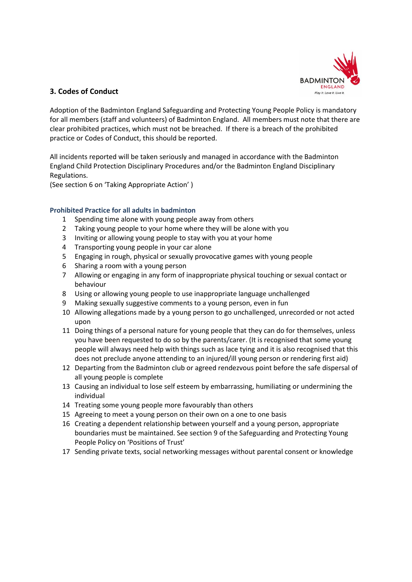

# **3. Codes of Conduct**

Adoption of the Badminton England Safeguarding and Protecting Young People Policy is mandatory for all members (staff and volunteers) of Badminton England. All members must note that there are clear prohibited practices, which must not be breached. If there is a breach of the prohibited practice or Codes of Conduct, this should be reported.

All incidents reported will be taken seriously and managed in accordance with the Badminton England Child Protection Disciplinary Procedures and/or the Badminton England Disciplinary Regulations.

(See section 6 on 'Taking Appropriate Action' )

# **Prohibited Practice for all adults in badminton**

- 1 Spending time alone with young people away from others
- 2 Taking young people to your home where they will be alone with you
- 3 Inviting or allowing young people to stay with you at your home
- 4 Transporting young people in your car alone
- 5 Engaging in rough, physical or sexually provocative games with young people
- 6 Sharing a room with a young person
- 7 Allowing or engaging in any form of inappropriate physical touching or sexual contact or behaviour
- 8 Using or allowing young people to use inappropriate language unchallenged
- 9 Making sexually suggestive comments to a young person, even in fun
- 10 Allowing allegations made by a young person to go unchallenged, unrecorded or not acted upon
- 11 Doing things of a personal nature for young people that they can do for themselves, unless you have been requested to do so by the parents/carer. (It is recognised that some young people will always need help with things such as lace tying and it is also recognised that this does not preclude anyone attending to an injured/ill young person or rendering first aid)
- 12 Departing from the Badminton club or agreed rendezvous point before the safe dispersal of all young people is complete
- 13 Causing an individual to lose self esteem by embarrassing, humiliating or undermining the individual
- 14 Treating some young people more favourably than others
- 15 Agreeing to meet a young person on their own on a one to one basis
- 16 Creating a dependent relationship between yourself and a young person, appropriate boundaries must be maintained. See section 9 of the Safeguarding and Protecting Young People Policy on 'Positions of Trust'
- 17 Sending private texts, social networking messages without parental consent or knowledge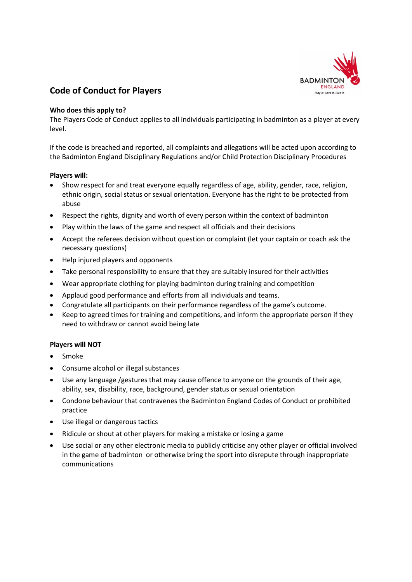

# **Code of Conduct for Players**

### **Who does this apply to?**

The Players Code of Conduct applies to all individuals participating in badminton as a player at every level.

If the code is breached and reported, all complaints and allegations will be acted upon according to the Badminton England Disciplinary Regulations and/or Child Protection Disciplinary Procedures

# **Players will:**

- Show respect for and treat everyone equally regardless of age, ability, gender, race, religion, ethnic origin, social status or sexual orientation. Everyone has the right to be protected from abuse
- Respect the rights, dignity and worth of every person within the context of badminton
- Play within the laws of the game and respect all officials and their decisions
- Accept the referees decision without question or complaint (let your captain or coach ask the necessary questions)
- Help injured players and opponents
- Take personal responsibility to ensure that they are suitably insured for their activities
- Wear appropriate clothing for playing badminton during training and competition
- Applaud good performance and efforts from all individuals and teams.
- Congratulate all participants on their performance regardless of the game's outcome.
- Keep to agreed times for training and competitions, and inform the appropriate person if they need to withdraw or cannot avoid being late

### **Players will NOT**

- Smoke
- Consume alcohol or illegal substances
- Use any language /gestures that may cause offence to anyone on the grounds of their age, ability, sex, disability, race, background, gender status or sexual orientation
- Condone behaviour that contravenes the Badminton England Codes of Conduct or prohibited practice
- Use illegal or dangerous tactics
- Ridicule or shout at other players for making a mistake or losing a game
- Use social or any other electronic media to publicly criticise any other player or official involved in the game of badminton or otherwise bring the sport into disrepute through inappropriate communications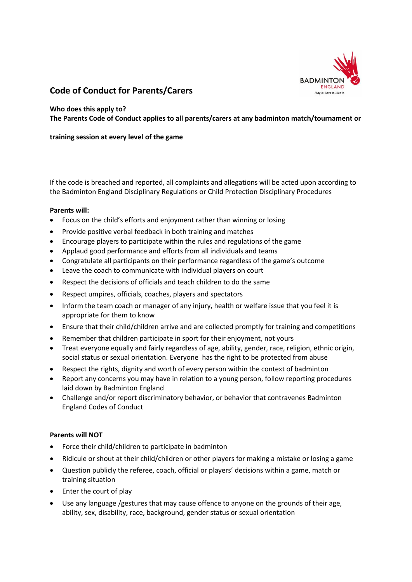

# **Code of Conduct for Parents/Carers**

### **Who does this apply to?**

**The Parents Code of Conduct applies to all parents/carers at any badminton match/tournament or** 

# **training session at every level of the game**

If the code is breached and reported, all complaints and allegations will be acted upon according to the Badminton England Disciplinary Regulations or Child Protection Disciplinary Procedures

### **Parents will:**

- Focus on the child's efforts and enjoyment rather than winning or losing
- Provide positive verbal feedback in both training and matches
- Encourage players to participate within the rules and regulations of the game
- Applaud good performance and efforts from all individuals and teams
- Congratulate all participants on their performance regardless of the game's outcome
- Leave the coach to communicate with individual players on court
- Respect the decisions of officials and teach children to do the same
- Respect umpires, officials, coaches, players and spectators
- Inform the team coach or manager of any injury, health or welfare issue that you feel it is appropriate for them to know
- Ensure that their child/children arrive and are collected promptly for training and competitions
- Remember that children participate in sport for their enjoyment, not yours
- Treat everyone equally and fairly regardless of age, ability, gender, race, religion, ethnic origin, social status or sexual orientation. Everyone has the right to be protected from abuse
- Respect the rights, dignity and worth of every person within the context of badminton
- Report any concerns you may have in relation to a young person, follow reporting procedures laid down by Badminton England
- Challenge and/or report discriminatory behavior, or behavior that contravenes Badminton England Codes of Conduct

### **Parents will NOT**

- Force their child/children to participate in badminton
- Ridicule or shout at their child/children or other players for making a mistake or losing a game
- Question publicly the referee, coach, official or players' decisions within a game, match or training situation
- Enter the court of play
- Use any language /gestures that may cause offence to anyone on the grounds of their age, ability, sex, disability, race, background, gender status or sexual orientation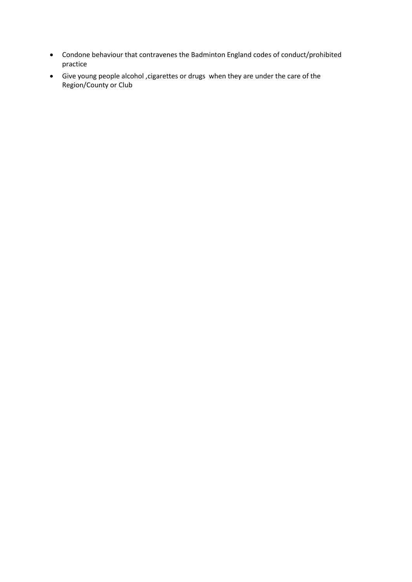- Condone behaviour that contravenes the Badminton England codes of conduct/prohibited practice
- Give young people alcohol ,cigarettes or drugs when they are under the care of the Region/County or Club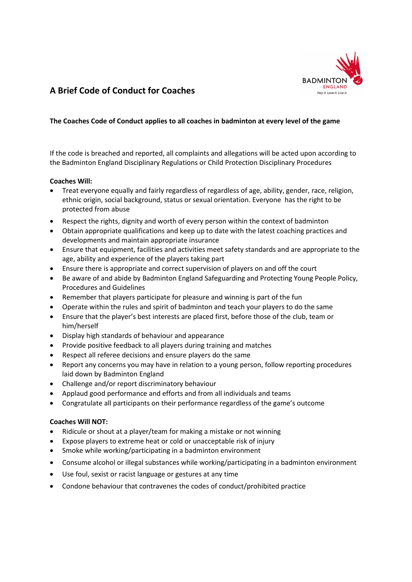

# **A Brief Code of Conduct for Coaches**

# **The Coaches Code of Conduct applies to all coaches in badminton at every level of the game**

If the code is breached and reported, all complaints and allegations will be acted upon according to the Badminton England Disciplinary Regulations or Child Protection Disciplinary Procedures

# **Coaches Will:**

- Treat everyone equally and fairly regardless of regardless of age, ability, gender, race, religion, ethnic origin, social background, status or sexual orientation. Everyone has the right to be protected from abuse
- Respect the rights, dignity and worth of every person within the context of badminton
- Obtain appropriate qualifications and keep up to date with the latest coaching practices and developments and maintain appropriate insurance
- Ensure that equipment, facilities and activities meet safety standards and are appropriate to the age, ability and experience of the players taking part
- Ensure there is appropriate and correct supervision of players on and off the court
- Be aware of and abide by Badminton England Safeguarding and Protecting Young People Policy, Procedures and Guidelines
- Remember that players participate for pleasure and winning is part of the fun
- Operate within the rules and spirit of badminton and teach your players to do the same
- Ensure that the player's best interests are placed first, before those of the club, team or him/herself
- Display high standards of behaviour and appearance
- Provide positive feedback to all players during training and matches
- Respect all referee decisions and ensure players do the same
- Report any concerns you may have in relation to a young person, follow reporting procedures laid down by Badminton England
- Challenge and/or report discriminatory behaviour
- Applaud good performance and efforts and from all individuals and teams
- Congratulate all participants on their performance regardless of the game's outcome

### **Coaches Will NOT:**

- Ridicule or shout at a player/team for making a mistake or not winning
- Expose players to extreme heat or cold or unacceptable risk of injury
- Smoke while working/participating in a badminton environment
- Consume alcohol or illegal substances while working/participating in a badminton environment
- Use foul, sexist or racist language or gestures at any time
- Condone behaviour that contravenes the codes of conduct/prohibited practice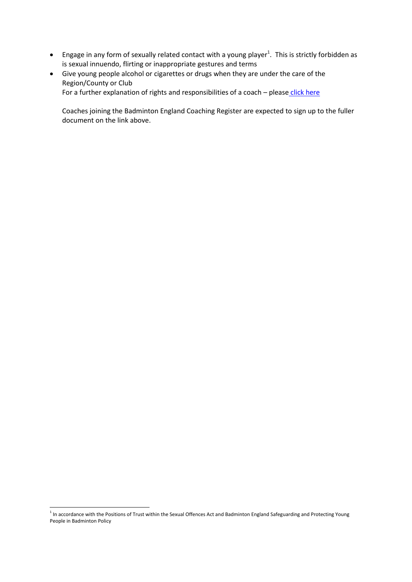- Engage in any form of sexually related contact with a young player<sup>1</sup>. This is strictly forbidden as is sexual innuendo, flirting or inappropriate gestures and terms
- Give young people alcohol or cigarettes or drugs when they are under the care of the Region/County or Club For a further explanation of rights and responsibilities of a coach - please [click here](http://www.badmintonengland.co.uk/text.asp?section=570&search=coaches+code+of+ethics#.U-TMX2fwtZR)

Coaches joining the Badminton England Coaching Register are expected to sign up to the fuller document on the link above.

-

<sup>&</sup>lt;sup>1</sup> In accordance with the Positions of Trust within the Sexual Offences Act and Badminton England Safeguarding and Protecting Young People in Badminton Policy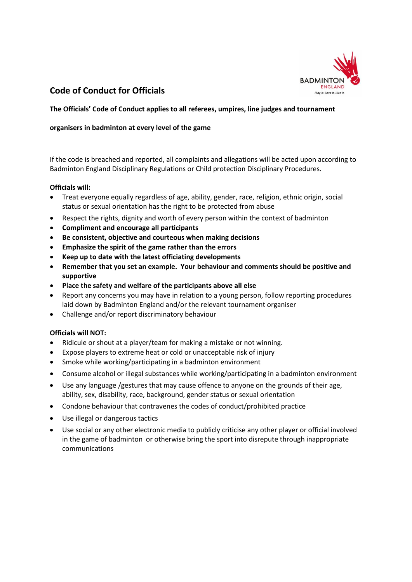

# **Code of Conduct for Officials**

### **The Officials' Code of Conduct applies to all referees, umpires, line judges and tournament**

### **organisers in badminton at every level of the game**

If the code is breached and reported, all complaints and allegations will be acted upon according to Badminton England Disciplinary Regulations or Child protection Disciplinary Procedures.

#### **Officials will:**

- Treat everyone equally regardless of age, ability, gender, race, religion, ethnic origin, social status or sexual orientation has the right to be protected from abuse
- Respect the rights, dignity and worth of every person within the context of badminton
- **Compliment and encourage all participants**
- **Be consistent, objective and courteous when making decisions**
- **Emphasize the spirit of the game rather than the errors**
- **Keep up to date with the latest officiating developments**
- **Remember that you set an example. Your behaviour and comments should be positive and supportive**
- **Place the safety and welfare of the participants above all else**
- Report any concerns you may have in relation to a young person, follow reporting procedures laid down by Badminton England and/or the relevant tournament organiser
- Challenge and/or report discriminatory behaviour

### **Officials will NOT:**

- Ridicule or shout at a player/team for making a mistake or not winning.
- Expose players to extreme heat or cold or unacceptable risk of injury
- Smoke while working/participating in a badminton environment
- Consume alcohol or illegal substances while working/participating in a badminton environment
- Use any language /gestures that may cause offence to anyone on the grounds of their age, ability, sex, disability, race, background, gender status or sexual orientation
- Condone behaviour that contravenes the codes of conduct/prohibited practice
- Use illegal or dangerous tactics
- Use social or any other electronic media to publicly criticise any other player or official involved in the game of badminton or otherwise bring the sport into disrepute through inappropriate communications